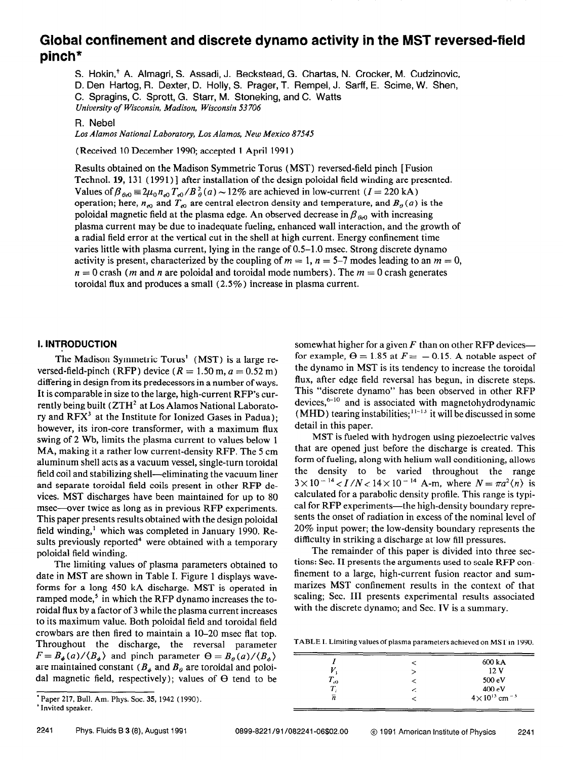# Global confinement and discrete dynamo activity in the MST reversed-field pinch\*

S. Hokin,<sup>†</sup> A. Almagri, S. Assadi, J. Beckstead, G. Chartas, N. Crocker, M. Cudzinovic, D. Den Hartog, R. Dexter, D. Holly, S. Prager, T. Rempel, J. Sarff, E. Scime, W. Shen, C. Spragins, C. Sprott, G. Starr, M. Stoneking, and C. Watts University of Wisconsin, Madison, Wisconsin 53 706

R. Nebel

Los Alamos National Laboratory, Los Alamos, New Mexico 87545

(Received 10 December 1990; accepted 1 April 199 1)

Results obtained on the Madison Symmetric Torus (MST) reversed-field pinch [Fusion Technol. 19, 131 (1991)] after installation of the design poloidal field winding are presented. Values of  $\beta_{A_0} = 2\mu_0 n_{A_0} T_{A_0}/B_A^2(a) \sim 12\%$  are achieved in low-current (I = 220 kA) operation; here,  $n_{e0}$  and  $T_{e0}$  are central electron density and temperature, and  $B_{\theta}(a)$  is the poloidal magnetic field at the plasma edge. An observed decrease in  $\beta_{\theta_{\alpha}0}$  with increasing plasma current may be due to inadequate fueling, enhanced wall interaction, and the growth of a radial field error at the vertical cut in the shell at high current. Energy confinement time varies little with plasma current, lying in the range of 0.5–1.0 msec. Strong discrete dynamo activity is present, characterized by the coupling of  $m = 1$ ,  $n = 5-7$  modes leading to an  $m = 0$ ,  $n = 0$  crash (*m* and *n* are poloidal and toroidal mode numbers). The  $m = 0$  crash generates toroidal flux and produces a small (2.5%) increase in plasma current.

## 1. INTRODUCTION

The Madison Symmetric Torus' (MST) is a large reversed-field-pinch (RFP) device ( $R = 1.50$  m,  $a = 0.52$  m) differing in design from its predecessors in a number of ways. It is comparable in size to the large, high-current RFP's currently being built ( $ZTH^2$  at Los Alamos National Laboratory and  $RFX<sup>3</sup>$  at the Institute for Ionized Gases in Padua); however, its iron-core transformer, with a maximum flux swing of 2 Wb, limits the plasma current to values below 1 MA, making it a rather low current-density RFP. The 5 cm aluminum shell acts as a vacuum vessel, single-turn toroidal field coil and stabilizing shell—eliminating the vacuum liner and separate toroidal field coils present in other RFP devices. MST discharges have been maintained for up to 80 msec-over twice as long as in previous RFP experiments. This paper presents results obtained with the design poloidal field winding,' which was completed in January 1990. Results previously reported<sup>4</sup> were obtained with a temporary poloidal field winding.

The limiting values of plasma parameters obtained to date in MST are shown in Table I. Figure 1 displays waveforms for a long 450 kA discharge. MST is operated in ramped mode,<sup>5</sup> in which the RFP dynamo increases the toroidal flux by a factor of 3 while the plasma current increases to its maximum value. Both poloidal field and toroidal field crowbars are then fired to maintain a 10-20 msec flat top. Throughout the discharge, the reversal parameter  $F = B_{\phi}(a)/\langle B_{\phi} \rangle$  and pinch parameter  $\Theta = B_{\theta}(a)/\langle B_{\phi} \rangle$ are maintained constant ( $B_{\phi}$  and  $B_{\theta}$  are toroidal and poloidal magnetic field, respectively); values of  $\Theta$  tend to be

somewhat higher for a given  $F$  than on other RFP devices for example,  $\Theta = 1.85$  at  $F = -0.15$ . A notable aspect of the dynamo in MST is its tendency to increase the toroidal flux, after edge field reversal has begun, in discrete steps. This "discrete dynamo" has been observed in other RFP devices, $6-10$  and is associated with magnetohydrodynamic (MHD) tearing instabilities;  $11-13$  it will be discussed in some detail in this paper.

MST is fueled with hydrogen using piezoelectric valves that are opened just before the discharge is created. This form of fueling, along with helium wall conditioning, allows the density to be varied throughout the range  $3 \times 10^{-14} < I/N < 14 \times 10^{-14}$  A-m, where  $N = \pi a^2 \langle n \rangle$  is calculated for a parabolic density profile. This range is typical for RFP experiments—the high-density boundary represents the onset of radiation in excess of the nominal level of 20% input power; the low-density boundary represents the difficulty in striking a discharge at low fill pressures.

The remainder of this paper is divided into three sections: Sec. II presents the arguments used to scale RFP confinement to a large, high-current fusion reactor and summarizes MST confinement results in the context of that scaling; Sec. III presents experimental results associated with the discrete dynamo; and Sec. IV is a summary.

TABLE I. Limiting values of plasma parameters achieved on MST in 1990.

|   | 600 kA                              |
|---|-------------------------------------|
|   | 12 <sub>V</sub>                     |
|   | 500 eV                              |
| ╭ | 400 eV                              |
|   | $4 \times 10^{13}$ cm <sup>-3</sup> |
|   |                                     |

<sup>\*</sup>Paper 217, Bull. Am. Phys. Soc. 35, 1942 (1990). 'Invited speaker.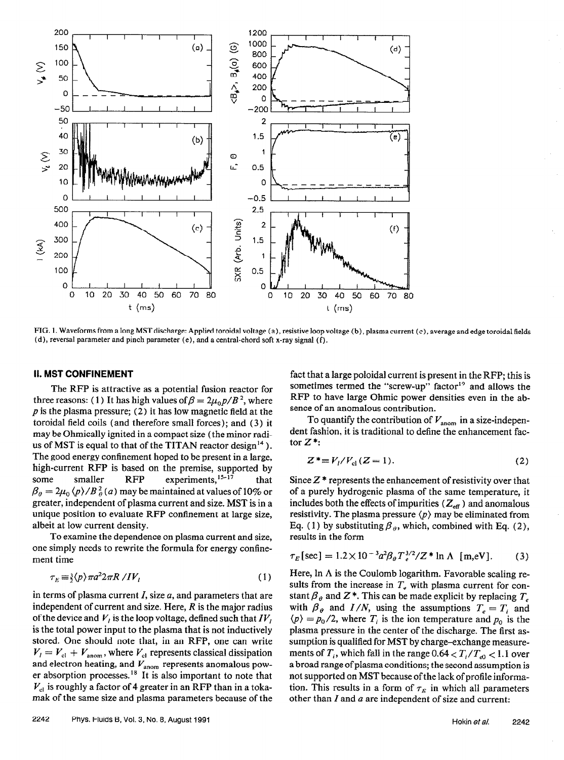

FIG. 1. Waveforms from a Iong MST discharge: Applied toroidal voltage (a), resistive loop voltage (b), plasma current (c), average and edge toroidal fields (d), reversal parameter and pinch parameter (e), and a central-chord soft x-ray signal (f).

### II. MST CONFINEMENT

The RFP is attractive as a potential fusion reactor for three reasons: (1) It has high values of  $\beta = 2\mu_0 p/B^2$ , where  $p$  is the plasma pressure; (2) it has low magnetic field at the toroidal field coils (and therefore small forces); and (3) it may be Ohmically ignited in a compact size (the minor radius of MST is equal to that of the TITAN reactor design<sup>14</sup>). The good energy confinement hoped to be present in a large, high-current RFP is based on the premise, supported by some smaller  $RFP$  experiments,  $15-17$  that  $\beta_a = 2\mu_0 \langle p \rangle / B_a^2(a)$  may be maintained at values of 10% or greater, independent of plasma current and size. MST is in a unique position to evaluate RFP confinement at large size, albeit at low current density.

To examine the dependence on plasma current and size, one simply needs to rewrite the formula for energy confinement time

$$
\tau_E \equiv \frac{3}{2} \langle p \rangle \pi a^2 2 \pi R / IV_l \tag{1}
$$

in terms of plasma current  $I$ , size  $a$ , and parameters that are independent of current and size. Here,  $R$  is the major radius of the device and  $V_i$  is the loop voltage, defined such that  $IV_i$ is the total power input to the plasma that is not inductively stored. One should note that, in an RFP, one can write  $V_l = V_{cl} + V_{\text{anom}}$ , where  $V_{cl}$  represents classical dissipation and electron heating, and  $V_{\text{anom}}$  represents anomalous power absorption processes.<sup>18</sup> It is also important to note that  $V_{\text{cl}}$  is roughly a factor of 4 greater in an RFP than in a tokamak of the same size and plasma parameters because of the fact that a large poloidal current is present in the RFP; this is sometimes termed the "screw-up" factor<sup>19</sup> and allows the RFP to have large Ohmic power densities even in the absence of an anomalous contribution.

To quantify the contribution of  $V_{\text{anom}}$  in a size-independent fashion, it is traditional to define the enhancement factor  $Z^*$ :

$$
Z^* \equiv V_l / V_{\rm cl} (Z = 1). \tag{2}
$$

Since  $Z^*$  represents the enhancement of resistivity over that of a purely hydrogenic plasma of the same temperature, it includes both the effects of impurities ( $Z_{\text{eff}}$ ) and anomalous resistivity. The plasma pressure  $\langle p \rangle$  may be eliminated from Eq. (1) by substituting  $\beta_{\theta}$ , which, combined with Eq. (2), results in the form

$$
\tau_E[\sec] = 1.2 \times 10^{-3} a^2 \beta_\theta T_e^{3/2} / Z^* \ln \Lambda \text{ [m,eV]}.
$$
 (3)

Here, In A is the Coulomb logarithm. Favorable scaling results from the increase in  $T<sub>e</sub>$  with plasma current for constant  $\beta_{\theta}$  and Z<sup>\*</sup>. This can be made explicit by replacing  $T_e$ with  $\beta_{\theta}$  and  $I/N$ , using the assumptions  $T_e = T_i$  and  $\langle p \rangle = p_0/2$ , where  $T_i$  is the ion temperature and  $p_0$  is the plasma pressure in the center of the discharge. The first assumption is qualified for MST by charge-exchange measurements of  $T_i$ , which fall in the range 0.64  $\lt T_i/T_{e0} \lt 1.1$  over a broad range of plasma conditions; the second assumption is not supported on MST because of the lack of profile information. This results in a form of  $\tau_F$  in which all parameters other than  $I$  and  $a$  are independent of size and current: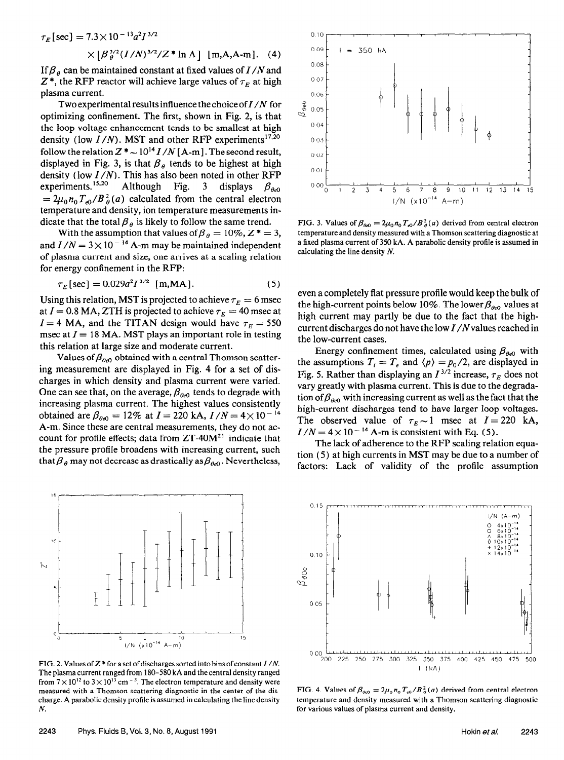$$
\tau_E[\sec] = 7.3 \times 10^{-13} a^2 I^{3/2}
$$

 $\times [\beta_{\theta}^{5/2}(I/N)^{3/2}/Z^* \ln \Lambda]$  [m,A,A-m]. (4)

If  $\beta_{\theta}$  can be maintained constant at fixed values of I/N and  $Z^*$ , the RFP reactor will achieve large values of  $\tau_E$  at high plasma current.

Two experimental results influence the choice of  $I/N$  for optimizing confinement. The first, shown in Fig. 2, is that the loop voltage enhancement tends to be smallest at high density (low  $I/N$ ). MST and other RFP experiments<sup>17,20</sup> follow the relation  $Z^* \sim 10^{14} I/N$  [A-m]. The second result, displayed in Fig. 3, is that  $\beta_\theta$  tends to be highest at high density (low  $I/N$ ). This has also been noted in other RFP experiments.<sup>15,20</sup> Although Fig. 3 displays  $\beta_{AA}$  $= 2\mu_0 n_0 T_{\rho 0}/B_\theta^2(a)$  calculated from the central electron temperature and density, ion temperature measurements indicate that the total  $\beta_{\theta}$  is likely to follow the same trend.

With the assumption that values of  $\beta_{\theta} = 10\%, Z^* = 3$ , and  $I/N = 3 \times 10^{-14}$  A-m may be maintained independent of plasma current and size, one arrives at a scaling relation for energy confinement in the RFP:

$$
\tau_E[\sec] = 0.029a^2 I^{3/2} \text{ [m,MA]}.
$$
 (5)

Using this relation, MST is projected to achieve  $\tau_E = 6$  msec at  $I = 0.8$  MA, ZTH is projected to achieve  $\tau_E = 40$  msec at  $I = 4$  MA, and the TITAN design would have  $\tau_E = 550$ msec at  $I = 18$  MA. MST plays an important role in testing this relation at large size and moderate current.

Values of  $\beta_{\theta_{\alpha 0}}$  obtained with a central Thomson scattering measurement are displayed in Fig. 4 for a set of discharges in which density and plasma current were varied. One can see that, on the average,  $\beta_{\theta_{e0}}$  tends to degrade with increasing plasma current. The highest values consistently obtained are  $\beta_{0.0} = 12\%$  at  $I = 220$  kA,  $I/N = 4 \times 10^{-14}$ A-m. Since these are central measurements, they do not account for profile effects; data from  $ZT-40M<sup>21</sup>$  indicate that the pressure profile broadens with increasing current, such that  $\beta_{\theta}$  may not decrease as drastically as  $\beta_{\theta\theta}$ . Nevertheless,



FIG. 2. Values of  $Z^*$  for a set of discharges sorted into bins of constant  $I/N$ . The plasma current ranged from 180-580 kA and thecentral density ranged from  $7 \times 10^{12}$  to  $3 \times 10^{13}$  cm <sup>- 3</sup>. The electron temperature and density were measured with a Thomson scattering diagnostic in the center of the discharge. A parabolic density profile is assumed in calculating the line density h'.



FIG. 3. Values of  $\beta_{\theta\theta} = 2\mu_0 n_0 T_{\theta}/B_B^2(a)$  derived from central electron temperature and density measured with a Thomson scattering diagnostic at a fixed plasma current of 350 kA. A parabolic density profile is assumed in calculating the line density N.

even a completely flat pressure profile would keep the bulk of the high-current points below 10%. The lower  $\beta_{\alpha}$  values at high current may partly be due to the fact that the highcurrent discharges do not have the low  $I/N$  values reached in the low-current cases.

Energy confinement times, calculated using  $\beta_{\theta\theta}$  with the assumptions  $T_i = T_e$  and  $\langle p \rangle = p_0/2$ , are displayed in Fig. 5. Rather than displaying an  $I^{3/2}$  increase,  $\tau_E$  does not vary greatly with plasma current. This is due to the degradation of  $\beta_{\theta\epsilon}$  with increasing current as well as the fact that the high-current discharges tend to have larger loop voltages. The observed value of  $\tau_E \sim 1$  msec at  $I = 220$  kA,  $I/N = 4 \times 10^{-14}$  A-m is consistent with Eq. (5).

The lack of adherence to the RFP scaling relation equation (5) at high currents in MST may be due to a number of factors: Lack of validity of the profile assumption



FIG. 4. Values of  $\beta_{\theta=0} = 2\mu_0 n_0 T_{\phi}/B_{\theta}^2(a)$  derived from central electron temperature and density measured with a Thomson scattering diagnostic for various values of plasma current and density.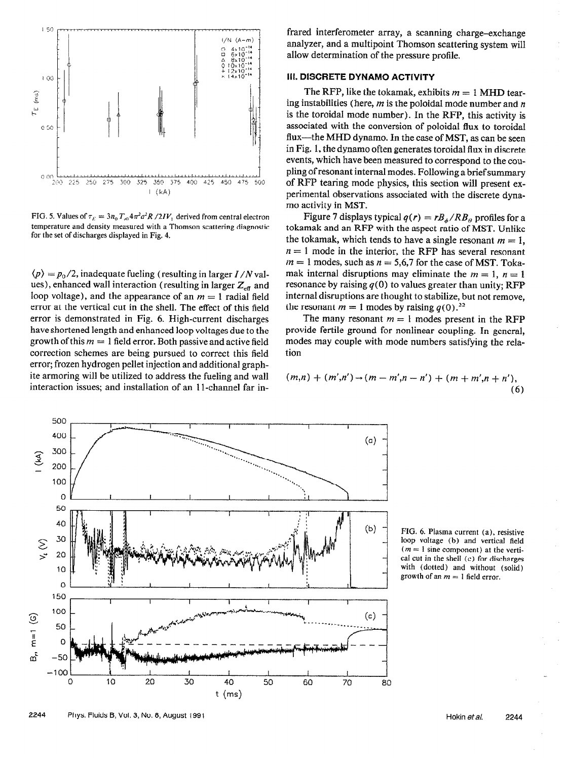

FIG. 5. Values of  $\tau_E = 3n_0 T_{c0} 4\pi^2 a^2 R / 2IV_1$  derived from central electron temperature and density measured with a Thomson scattering diagnostic for the set of discharges displayed in Fig. 4.

 $\langle p \rangle = p_0/2$ , inadequate fueling (resulting in larger I/N values), enhanced wall interaction (resulting in larger  $Z_{\text{eff}}$  and loop voltage), and the appearance of an  $m = 1$  radial field error at the vertical cut in the shell. The effect of this field error is demonstrated in Fig. 6. High-current discharges have shortened length and enhanced loop voltages due to the growth of this  $m = 1$  field error. Both passive and active field correction schemes are being pursued to correct this field error; frozen hydrogen pellet injection and additional graphite armoring will be utilized to address the fueling and wall interaction issues; and installation of an 1 l-channel far infrared interferometer array, a scanning charge-exchange analyzer, and a multipoint Thomson scattering system will allow determination of the pressure profile.

## III. DISCRETE DYNAMO ACTIVITY

The RFP, like the tokamak, exhibits  $m = 1$  MHD tearing instabilities (here,  $m$  is the poloidal mode number and  $n$ is the toroidal mode number). In the RFP, this activity is associated with the conversion of poloidal flux to toroidal flux—the MHD dynamo. In the case of MST, as can be seen in Fig, 1, the dynamo often generates toroidal flux in discrete events, which have been measured to correspond to the coupling of resonant internal modes. Following a brief summary of RFP tearing mode physics, this section will present experimental observations associated with the discrete dynamo activity in MST.

Figure 7 displays typical  $q(r) = rB_{\phi}/RB_{\theta}$  profiles for a tokamak and an RFP with the aspect ratio of MST. Unlike the tokamak, which tends to have a single resonant  $m = 1$ ,  $n = 1$  mode in the interior, the RFP has several resonant  $m = 1$  modes, such as  $n = 5,6,7$  for the case of MST. Tokamak internal disruptions may eliminate the  $m = 1$ ,  $n = 1$ resonance by raising  $q(0)$  to values greater than unity; RFP internal disruptions are thought to stabilize, but not remove, the resonant  $m = 1$  modes by raising  $q(0)^{22}$ .

The many resonant  $m = 1$  modes present in the RFP provide fertile ground for nonlinear coupling. In general, modes may couple with mode numbers satisfying the relation

$$
(m,n) + (m',n') \rightarrow (m-m',n-n') + (m+m',n+n'),
$$
  
(6)



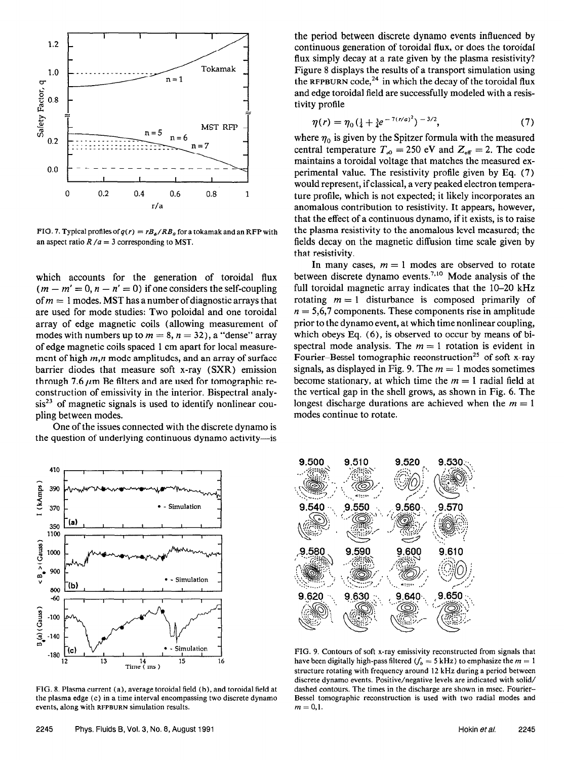

FIG. 7. Typical profiles of  $q(r) = rB<sub>A</sub>/RB<sub>B</sub>$  for a tokamak and an RFP with an aspect ratio  $R/a = 3$  corresponding to MST.

which accounts for the generation of toroidal flux  $(m - m' = 0, n - n' = 0)$  if one considers the self-coupling of  $m = 1$  modes. MST has a number of diagnostic arrays that are used for mode studies: Two poloidal and one toroidal array of edge magnetic coils (allowing measurement of modes with numbers up to  $m = 8$ ,  $n = 32$ ), a "dense" array of edge magnetic coils spaced 1 cm apart for local measurement of high  $m,n$  mode amplitudes, and an array of surface barrier diodes that measure soft x-ray (SXR) emission through 7.6  $\mu$ m Be filters and are used for tomographic reconstruction of emissivity in the interior. Bispectral analy $sis<sup>23</sup>$  of magnetic signals is used to identify nonlinear coupling between modes.

One of the issues connected with the discrete dynamo is the question of underlying continuous dynamo activity-is



FIG. 8. Plasma current (a), average toroidal field (b), and toroidal field at the plasma edge (c) in a time interval encompassing two discrete dynamo events, along with RFPBURN simulation results.

the period between discrete dynamo events influenced by continuous generation of toroidal flux, or does the toroidal flux simply decay at a rate given by the plasma resistivity? Figure 8 displays the results of a transport simulation using the RFPBURN code,<sup>24</sup> in which the decay of the toroidal flux and edge toroidal field are successfully modeled with a resistivity profile

$$
\eta(r) = \eta_0 \left(\frac{1}{4} + \frac{3}{4}e^{-7(r/a)^2}\right)^{-3/2},\tag{7}
$$

where  $\eta_0$  is given by the Spitzer formula with the measured central temperature  $T_{\text{e}0} = 250$  eV and  $Z_{\text{eff}} = 2$ . The code maintains a toroidal voltage that matches the measured experimental value. The resistivity profile given by Eq. (7) would represent, if classical, a very peaked electron temperature profile, which is not expected; it likely incorporates an anomalous contribution to resistivity. It appears, however, that the effect of a continuous dynamo, if it exists, is to raise the plasma resistivity to the anomalous level measured; the fields decay on the magnetic diffusion time scale given by that resistivity.

In many cases,  $m = 1$  modes are observed to rotate between discrete dynamo events.<sup>7,10</sup> Mode analysis of the full toroidal magnetic array indicates that the 10-20 kHz rotating  $m = 1$  disturbance is composed primarily of  $n = 5.6,7$  components. These components rise in amplitude prior to the dynamo event, at which time nonlinear coupling, which obeys Eq. (6), is observed to occur by means of bispectral mode analysis. The  $m = 1$  rotation is evident in Fourier-Bessel tomographic reconstruction<sup>25</sup> of soft x-ray signals, as displayed in Fig. 9. The  $m = 1$  modes sometimes become stationary, at which time the  $m = 1$  radial field at the vertical gap in the shell grows, as shown in Fig. 6. The longest discharge durations are achieved when the  $m = 1$ modes continue to rotate.



FIG. 9. Contours of soft x-ray emissivity reconstructed from signals that have been digitally high-pass filtered  $\mathcal{F}_b = 5$  kHz) to emphasize the  $m = 1$ structure rotating with frequency around 12 kHz during a period between discrete dynamo events. Positive/negative levels are indicated with solid/ dashed contours. The times in the discharge are shown in msec. Fourier-Bessel tomographic reconstruction is used with two radial modes and  $m = 0,1$ .